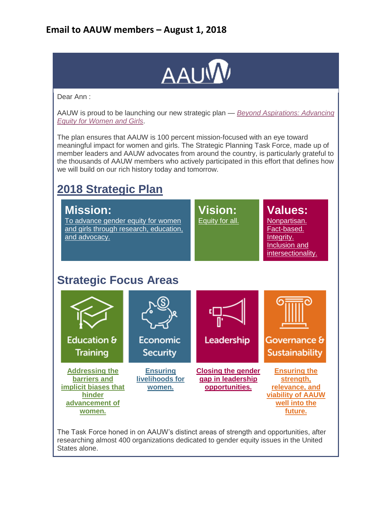

Dear Ann :

AAUW is proud to be launching our new strategic plan — *[Beyond Aspirations: Advancing](http://salsa4.salsalabs.com/dia/track.jsp?v=2&c=ysy521mrg2Ef1uQAuiuNnt2fpCm0hYak)  [Equity for Women and Girls](http://salsa4.salsalabs.com/dia/track.jsp?v=2&c=ysy521mrg2Ef1uQAuiuNnt2fpCm0hYak)*.

The plan ensures that AAUW is 100 percent mission-focused with an eye toward meaningful impact for women and girls. The Strategic Planning Task Force, made up of member leaders and AAUW advocates from around the country, is particularly grateful to the thousands of AAUW members who actively participated in this effort that defines how we will build on our rich history today and tomorrow.

## **[2018 Strategic Plan](http://salsa4.salsalabs.com/dia/track.jsp?v=2&c=id0EKfbAYvpvPfNilE6Xrd2fpCm0hYak)**



The Task Force honed in on AAUW's distinct areas of strength and opportunities, after researching almost 400 organizations dedicated to gender equity issues in the United States alone.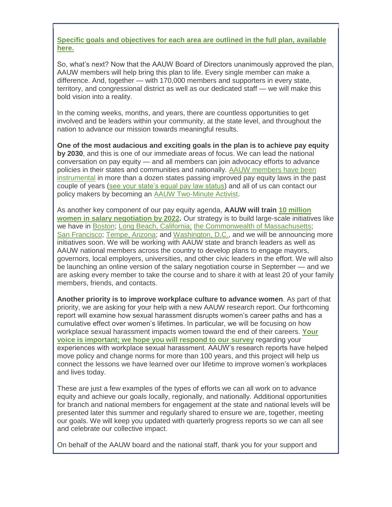**[Specific goals and objectives for each area are outlined in the full plan, available](http://salsa4.salsalabs.com/dia/track.jsp?v=2&c=gLUfFlNK0fNzTmd%2FAOpbEN2fpCm0hYak)  [here.](http://salsa4.salsalabs.com/dia/track.jsp?v=2&c=gLUfFlNK0fNzTmd%2FAOpbEN2fpCm0hYak)**

So, what's next? Now that the AAUW Board of Directors unanimously approved the plan, AAUW members will help bring this plan to life. Every single member can make a difference. And, together — with 170,000 members and supporters in every state, territory, and congressional district as well as our dedicated staff — we will make this bold vision into a reality.

In the coming weeks, months, and years, there are countless opportunities to get involved and be leaders within your community, at the state level, and throughout the nation to advance our mission towards meaningful results.

**One of the most audacious and exciting goals in the plan is to achieve pay equity by 2030**, and this is one of our immediate areas of focus. We can lead the national conversation on pay equity — and all members can join advocacy efforts to advance policies in their states and communities and nationally. [AAUW members have been](http://salsa4.salsalabs.com/dia/track.jsp?v=2&c=rJpXYnooofAr4S2FlPFmod2fpCm0hYak)  [instrumental](http://salsa4.salsalabs.com/dia/track.jsp?v=2&c=rJpXYnooofAr4S2FlPFmod2fpCm0hYak) in more than a dozen states passing improved pay equity laws in the past couple of years [\(see your state's equal pay law status\)](http://salsa4.salsalabs.com/dia/track.jsp?v=2&c=dJFayOOo7W%2BzesQ69%2Fmagd2fpCm0hYak) and all of us can contact our policy makers by becoming an [AAUW Two-Minute Activist.](http://salsa4.salsalabs.com/dia/track.jsp?v=2&c=aivTciEEqrcCtWLMcdgxLN2fpCm0hYak)

As another key component of our pay equity agenda, **AAUW will train [10 million](http://salsa4.salsalabs.com/dia/track.jsp?v=2&c=tapg3Q1xETWu8ZGqEfKYkoGfKk7%2F0BGV)  [women in salary negotiation by 2022.](http://salsa4.salsalabs.com/dia/track.jsp?v=2&c=tapg3Q1xETWu8ZGqEfKYkoGfKk7%2F0BGV)** Our strategy is to build large-scale initiatives like we have in [Boston;](http://salsa4.salsalabs.com/dia/track.jsp?v=2&c=W7k90nAO%2FtlbA5tdxqw4PYGfKk7%2F0BGV) [Long Beach, California;](http://salsa4.salsalabs.com/dia/track.jsp?v=2&c=%2FzerGu%2Fp8HCjiuwq2b5TIt2fpCm0hYak) [the Commonwealth of Massachusetts;](http://salsa4.salsalabs.com/dia/track.jsp?v=2&c=tApvPUzkR%2BvmWfUA5Dkn6N2fpCm0hYak) San [Francisco;](http://salsa4.salsalabs.com/dia/track.jsp?v=2&c=BD1KyBrVyZytzBV%2BWbem4d2fpCm0hYak) [Tempe, Arizona;](http://salsa4.salsalabs.com/dia/track.jsp?v=2&c=JufYvZyJdwvCcEJESepvxt2fpCm0hYak) and [Washington, D.C.,](http://salsa4.salsalabs.com/dia/track.jsp?v=2&c=CeHaJLaBAHYjomg6bQsqrN2fpCm0hYak) and we will be announcing more initiatives soon. We will be working with AAUW state and branch leaders as well as AAUW national members across the country to develop plans to engage mayors, governors, local employers, universities, and other civic leaders in the effort. We will also be launching an online version of the salary negotiation course in September — and we are asking every member to take the course and to share it with at least 20 of your family members, friends, and contacts.

**Another priority is to improve workplace culture to advance women**. As part of that priority, we are asking for your help with a new AAUW research report. Our forthcoming report will examine how sexual harassment disrupts women's career paths and has a cumulative effect over women's lifetimes. In particular, we will be focusing on how workplace sexual harassment impacts women toward the end of their careers. **[Your](http://salsa4.salsalabs.com/dia/track.jsp?v=2&c=Iqxb7G7ZhfDP1ssg%2FU%2B1pd2fpCm0hYak)  [voice is important; we hope you will respond to our survey](http://salsa4.salsalabs.com/dia/track.jsp?v=2&c=Iqxb7G7ZhfDP1ssg%2FU%2B1pd2fpCm0hYak)** regarding your experiences with workplace sexual harassment. AAUW's research reports have helped move policy and change norms for more than 100 years, and this project will help us connect the lessons we have learned over our lifetime to improve women's workplaces and lives today.

These are just a few examples of the types of efforts we can all work on to advance equity and achieve our goals locally, regionally, and nationally. Additional opportunities for branch and national members for engagement at the state and national levels will be presented later this summer and regularly shared to ensure we are, together, meeting our goals. We will keep you updated with quarterly progress reports so we can all see and celebrate our collective impact.

On behalf of the AAUW board and the national staff, thank you for your support and